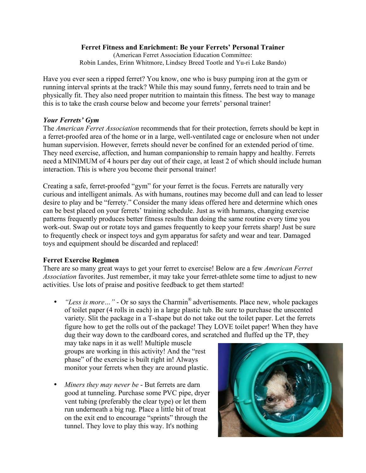## **Ferret Fitness and Enrichment: Be your Ferrets' Personal Trainer**

(American Ferret Association Education Committee: Robin Landes, Erinn Whitmore, Lindsey Breed Tootle and Yu-ri Luke Bando)

Have you ever seen a ripped ferret? You know, one who is busy pumping iron at the gym or running interval sprints at the track? While this may sound funny, ferrets need to train and be physically fit. They also need proper nutrition to maintain this fitness. The best way to manage this is to take the crash course below and become your ferrets' personal trainer!

# *Your Ferrets' Gym*

The *American Ferret Association* recommends that for their protection, ferrets should be kept in a ferret-proofed area of the home or in a large, well-ventilated cage or enclosure when not under human supervision. However, ferrets should never be confined for an extended period of time. They need exercise, affection, and human companionship to remain happy and healthy. Ferrets need a MINIMUM of 4 hours per day out of their cage, at least 2 of which should include human interaction. This is where you become their personal trainer!

Creating a safe, ferret-proofed "gym" for your ferret is the focus. Ferrets are naturally very curious and intelligent animals. As with humans, routines may become dull and can lead to lesser desire to play and be "ferrety." Consider the many ideas offered here and determine which ones can be best placed on your ferrets' training schedule. Just as with humans, changing exercise patterns frequently produces better fitness results than doing the same routine every time you work-out. Swap out or rotate toys and games frequently to keep your ferrets sharp! Just be sure to frequently check or inspect toys and gym apparatus for safety and wear and tear. Damaged toys and equipment should be discarded and replaced!

# **Ferret Exercise Regimen**

There are so many great ways to get your ferret to exercise! Below are a few *American Ferret Association* favorites. Just remember, it may take your ferret-athlete some time to adjust to new activities. Use lots of praise and positive feedback to get them started!

• *"Less is more…"* - Or so says the Charmin® advertisements. Place new, whole packages of toilet paper (4 rolls in each) in a large plastic tub. Be sure to purchase the unscented variety. Slit the package in a T-shape but do not take out the toilet paper. Let the ferrets figure how to get the rolls out of the package! They LOVE toilet paper! When they have dug their way down to the cardboard cores, and scratched and fluffed up the TP, they

may take naps in it as well! Multiple muscle groups are working in this activity! And the "rest phase" of the exercise is built right in! Always monitor your ferrets when they are around plastic.

• *Miners they may never be* - But ferrets are darn good at tunneling. Purchase some PVC pipe, dryer vent tubing (preferably the clear type) or let them run underneath a big rug. Place a little bit of treat on the exit end to encourage "sprints" through the tunnel. They love to play this way. It's nothing

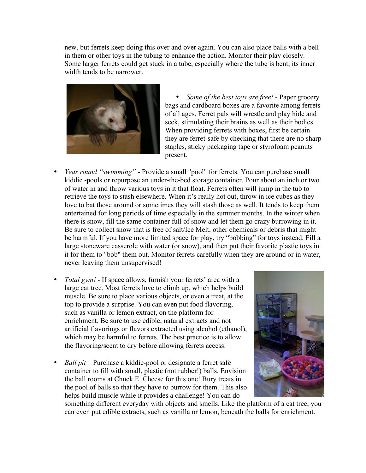new, but ferrets keep doing this over and over again. You can also place balls with a bell in them or other toys in the tubing to enhance the action. Monitor their play closely. Some larger ferrets could get stuck in a tube, especially where the tube is bent, its inner width tends to be narrower.



• *Some of the best toys are free!* - Paper grocery bags and cardboard boxes are a favorite among ferrets of all ages. Ferret pals will wrestle and play hide and seek, stimulating their brains as well as their bodies. When providing ferrets with boxes, first be certain they are ferret-safe by checking that there are no sharp staples, sticky packaging tape or styrofoam peanuts present.

- *Year round "swimming"* Provide a small "pool" for ferrets. You can purchase small kiddie -pools or repurpose an under-the-bed storage container. Pour about an inch or two of water in and throw various toys in it that float. Ferrets often will jump in the tub to retrieve the toys to stash elsewhere. When it's really hot out, throw in ice cubes as they love to bat those around or sometimes they will stash those as well. It tends to keep them entertained for long periods of time especially in the summer months. In the winter when there is snow, fill the same container full of snow and let them go crazy burrowing in it. Be sure to collect snow that is free of salt/Ice Melt, other chemicals or debris that might be harmful. If you have more limited space for play, try "bobbing" for toys instead. Fill a large stoneware casserole with water (or snow), and then put their favorite plastic toys in it for them to "bob" them out. Monitor ferrets carefully when they are around or in water, never leaving them unsupervised!
- *Total gym! -* If space allows, furnish your ferrets' area with a large cat tree. Most ferrets love to climb up, which helps build muscle. Be sure to place various objects, or even a treat, at the top to provide a surprise. You can even put food flavoring, such as vanilla or lemon extract, on the platform for enrichment. Be sure to use edible, natural extracts and not artificial flavorings or flavors extracted using alcohol (ethanol), which may be harmful to ferrets. The best practice is to allow the flavoring/scent to dry before allowing ferrets access.
- *Ball pit* Purchase a kiddie-pool or designate a ferret safe container to fill with small, plastic (not rubber!) balls. Envision the ball rooms at Chuck E. Cheese for this one! Bury treats in the pool of balls so that they have to burrow for them. This also helps build muscle while it provides a challenge! You can do



something different everyday with objects and smells. Like the platform of a cat tree, you can even put edible extracts, such as vanilla or lemon, beneath the balls for enrichment.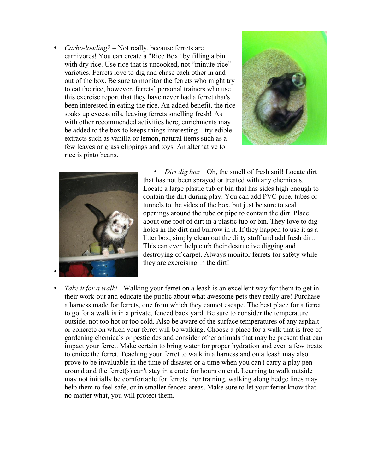• *Carbo-loading?* – Not really, because ferrets are carnivores! You can create a "Rice Box" by filling a bin with dry rice. Use rice that is uncooked, not "minute-rice" varieties. Ferrets love to dig and chase each other in and out of the box. Be sure to monitor the ferrets who might try to eat the rice, however, ferrets' personal trainers who use this exercise report that they have never had a ferret that's been interested in eating the rice. An added benefit, the rice soaks up excess oils, leaving ferrets smelling fresh! As with other recommended activities here, enrichments may be added to the box to keeps things interesting – try edible extracts such as vanilla or lemon, natural items such as a few leaves or grass clippings and toys. An alternative to rice is pinto beans.





• *Dirt dig box* – Oh, the smell of fresh soil! Locate dirt that has not been sprayed or treated with any chemicals. Locate a large plastic tub or bin that has sides high enough to contain the dirt during play. You can add PVC pipe, tubes or tunnels to the sides of the box, but just be sure to seal openings around the tube or pipe to contain the dirt. Place about one foot of dirt in a plastic tub or bin. They love to dig holes in the dirt and burrow in it. If they happen to use it as a litter box, simply clean out the dirty stuff and add fresh dirt. This can even help curb their destructive digging and destroying of carpet. Always monitor ferrets for safety while they are exercising in the dirt!

*Take it for a walk!* - Walking your ferret on a leash is an excellent way for them to get in their work-out and educate the public about what awesome pets they really are! Purchase a harness made for ferrets, one from which they cannot escape. The best place for a ferret to go for a walk is in a private, fenced back yard. Be sure to consider the temperature outside, not too hot or too cold. Also be aware of the surface temperatures of any asphalt or concrete on which your ferret will be walking. Choose a place for a walk that is free of gardening chemicals or pesticides and consider other animals that may be present that can impact your ferret. Make certain to bring water for proper hydration and even a few treats to entice the ferret. Teaching your ferret to walk in a harness and on a leash may also prove to be invaluable in the time of disaster or a time when you can't carry a play pen around and the ferret(s) can't stay in a crate for hours on end. Learning to walk outside may not initially be comfortable for ferrets. For training, walking along hedge lines may help them to feel safe, or in smaller fenced areas. Make sure to let your ferret know that no matter what, you will protect them.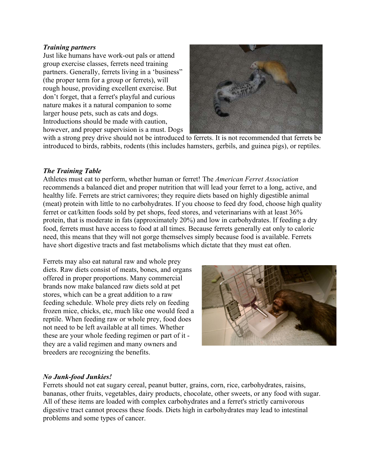#### *Training partners*

Just like humans have work-out pals or attend group exercise classes, ferrets need training partners. Generally, ferrets living in a 'business" (the proper term for a group or ferrets), will rough house, providing excellent exercise. But don't forget, that a ferret's playful and curious nature makes it a natural companion to some larger house pets, such as cats and dogs. Introductions should be made with caution, however, and proper supervision is a must. Dogs



with a strong prey drive should not be introduced to ferrets. It is not recommended that ferrets be introduced to birds, rabbits, rodents (this includes hamsters, gerbils, and guinea pigs), or reptiles.

## *The Training Table*

Athletes must eat to perform, whether human or ferret! The *American Ferret Association* recommends a balanced diet and proper nutrition that will lead your ferret to a long, active, and healthy life. Ferrets are strict carnivores; they require diets based on highly digestible animal (meat) protein with little to no carbohydrates. If you choose to feed dry food, choose high quality ferret or cat/kitten foods sold by pet shops, feed stores, and veterinarians with at least 36% protein, that is moderate in fats (approximately 20%) and low in carbohydrates. If feeding a dry food, ferrets must have access to food at all times. Because ferrets generally eat only to caloric need, this means that they will not gorge themselves simply because food is available. Ferrets have short digestive tracts and fast metabolisms which dictate that they must eat often.

Ferrets may also eat natural raw and whole prey diets. Raw diets consist of meats, bones, and organs offered in proper proportions. Many commercial brands now make balanced raw diets sold at pet stores, which can be a great addition to a raw feeding schedule. Whole prey diets rely on feeding frozen mice, chicks, etc, much like one would feed a reptile. When feeding raw or whole prey, food does not need to be left available at all times. Whether these are your whole feeding regimen or part of it they are a valid regimen and many owners and breeders are recognizing the benefits.



## *No Junk-food Junkies!*

Ferrets should not eat sugary cereal, peanut butter, grains, corn, rice, carbohydrates, raisins, bananas, other fruits, vegetables, dairy products, chocolate, other sweets, or any food with sugar. All of these items are loaded with complex carbohydrates and a ferret's strictly carnivorous digestive tract cannot process these foods. Diets high in carbohydrates may lead to intestinal problems and some types of cancer.